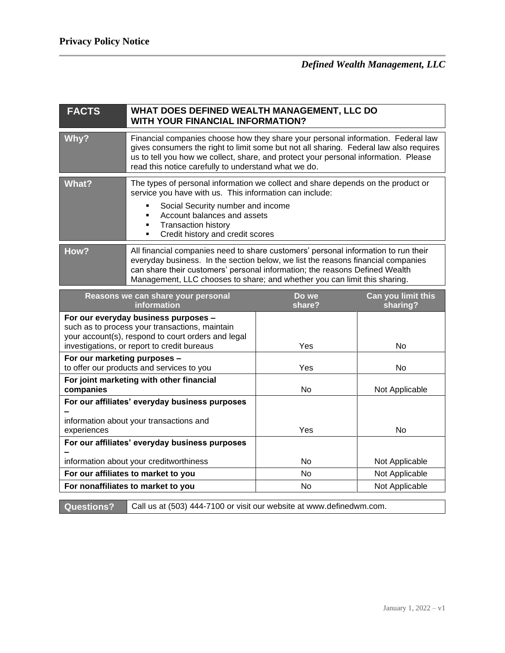| <b>FACTS</b>                                                                                                                                                                                | WHAT DOES DEFINED WEALTH MANAGEMENT, LLC DO<br><b>WITH YOUR FINANCIAL INFORMATION?</b>                                                                                                                                                                                                                                             |                 |                                |
|---------------------------------------------------------------------------------------------------------------------------------------------------------------------------------------------|------------------------------------------------------------------------------------------------------------------------------------------------------------------------------------------------------------------------------------------------------------------------------------------------------------------------------------|-----------------|--------------------------------|
| Why?                                                                                                                                                                                        | Financial companies choose how they share your personal information. Federal law<br>gives consumers the right to limit some but not all sharing. Federal law also requires<br>us to tell you how we collect, share, and protect your personal information. Please<br>read this notice carefully to understand what we do.          |                 |                                |
| <b>What?</b>                                                                                                                                                                                | The types of personal information we collect and share depends on the product or<br>service you have with us. This information can include:<br>Social Security number and income<br>Account balances and assets<br>٠<br><b>Transaction history</b><br>٠<br>Credit history and credit scores<br>٠                                   |                 |                                |
| How?                                                                                                                                                                                        | All financial companies need to share customers' personal information to run their<br>everyday business. In the section below, we list the reasons financial companies<br>can share their customers' personal information; the reasons Defined Wealth<br>Management, LLC chooses to share; and whether you can limit this sharing. |                 |                                |
| Reasons we can share your personal<br>information                                                                                                                                           |                                                                                                                                                                                                                                                                                                                                    | Do we<br>share? | Can you limit this<br>sharing? |
| For our everyday business purposes -<br>such as to process your transactions, maintain<br>your account(s), respond to court orders and legal<br>investigations, or report to credit bureaus |                                                                                                                                                                                                                                                                                                                                    | Yes             | <b>No</b>                      |
| For our marketing purposes -<br>to offer our products and services to you                                                                                                                   |                                                                                                                                                                                                                                                                                                                                    | Yes             | No                             |
| For joint marketing with other financial<br>companies                                                                                                                                       |                                                                                                                                                                                                                                                                                                                                    | No              | Not Applicable                 |
| For our affiliates' everyday business purposes<br>information about your transactions and<br>experiences                                                                                    |                                                                                                                                                                                                                                                                                                                                    | Yes             | <b>No</b>                      |
| For our affiliates' everyday business purposes                                                                                                                                              |                                                                                                                                                                                                                                                                                                                                    |                 |                                |
| information about your creditworthiness                                                                                                                                                     |                                                                                                                                                                                                                                                                                                                                    | <b>No</b>       | Not Applicable                 |
| For our affiliates to market to you                                                                                                                                                         |                                                                                                                                                                                                                                                                                                                                    | No              | Not Applicable                 |
| For nonaffiliates to market to you                                                                                                                                                          |                                                                                                                                                                                                                                                                                                                                    | No              | Not Applicable                 |

**Questions?** Call us at (503) 444-7100 or visit our website at www.definedwm.com.